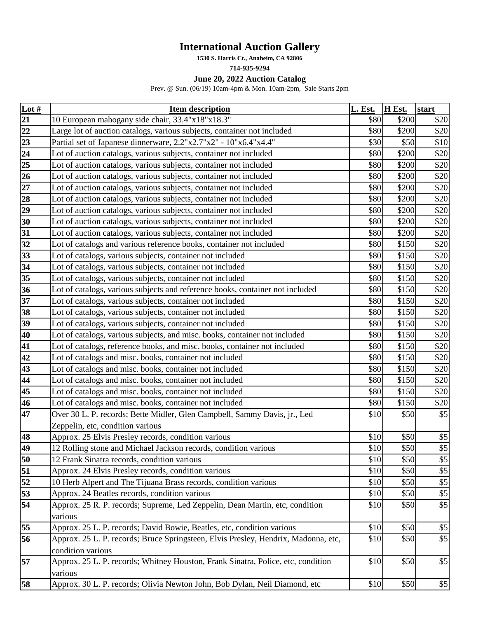## **International Auction Gallery**

**1530 S. Harris Ct., Anaheim, CA 92806**

**714-935-9294**

## **June 20, 2022 Auction Catalog**

Prev. @ Sun. (06/19) 10am-4pm & Mon. 10am-2pm, Sale Starts 2pm

| Lot $#$         | <b>Item description</b>                                                            | L. Est. | H Est. | start |
|-----------------|------------------------------------------------------------------------------------|---------|--------|-------|
| 21              | 10 European mahogany side chair, 33.4"x18"x18.3"                                   | \$80    | \$200  | \$20  |
| 22              | Large lot of auction catalogs, various subjects, container not included            | \$80    | \$200  | \$20  |
| $\overline{23}$ | Partial set of Japanese dinnerware, 2.2"x2.7"x2" - 10"x6.4"x4.4"                   | \$30    | \$50   | \$10  |
| 24              | Lot of auction catalogs, various subjects, container not included                  | \$80    | \$200  | \$20  |
| 25              | Lot of auction catalogs, various subjects, container not included                  | \$80    | \$200  | \$20  |
| 26              | Lot of auction catalogs, various subjects, container not included                  | \$80    | \$200  | \$20  |
| $27\,$          | Lot of auction catalogs, various subjects, container not included                  | \$80    | \$200  | \$20  |
| 28              | Lot of auction catalogs, various subjects, container not included                  | \$80    | \$200  | \$20  |
| 29              | Lot of auction catalogs, various subjects, container not included                  | \$80    | \$200  | \$20  |
| 30              | Lot of auction catalogs, various subjects, container not included                  | \$80    | \$200  | \$20  |
| 31              | Lot of auction catalogs, various subjects, container not included                  | \$80    | \$200  | \$20  |
| 32              | Lot of catalogs and various reference books, container not included                | \$80    | \$150  | \$20  |
| 33              | Lot of catalogs, various subjects, container not included                          | \$80    | \$150  | \$20  |
| 34              | Lot of catalogs, various subjects, container not included                          | \$80    | \$150  | \$20  |
| 35              | Lot of catalogs, various subjects, container not included                          | \$80    | \$150  | \$20  |
| $\overline{36}$ | Lot of catalogs, various subjects and reference books, container not included      | \$80    | \$150  | \$20  |
| 37              | Lot of catalogs, various subjects, container not included                          | \$80    | \$150  | \$20  |
| 38              | Lot of catalogs, various subjects, container not included                          | \$80    | \$150  | \$20  |
| 39              | Lot of catalogs, various subjects, container not included                          | \$80    | \$150  | \$20  |
| 40              | Lot of catalogs, various subjects, and misc. books, container not included         | \$80    | \$150  | \$20  |
| 41              | Lot of catalogs, reference books, and misc. books, container not included          | \$80    | \$150  | \$20  |
| 42              | Lot of catalogs and misc. books, container not included                            | \$80    | \$150  | \$20  |
| 43              | Lot of catalogs and misc. books, container not included                            | \$80    | \$150  | \$20  |
| 44              | Lot of catalogs and misc. books, container not included                            | \$80    | \$150  | \$20  |
| 45              | Lot of catalogs and misc. books, container not included                            | \$80    | \$150  | \$20  |
| 46              | Lot of catalogs and misc. books, container not included                            | \$80    | \$150  | \$20  |
| 47              | Over 30 L. P. records; Bette Midler, Glen Campbell, Sammy Davis, jr., Led          | \$10    | \$50   | \$5   |
|                 | Zeppelin, etc, condition various                                                   |         |        |       |
| 48              | Approx. 25 Elvis Presley records, condition various                                | \$10    | \$50   | \$5   |
| 49              | 12 Rolling stone and Michael Jackson records, condition various                    | \$10    | \$50   | \$5   |
| 50              | 12 Frank Sinatra records, condition various                                        | \$10    | \$50   | $\$5$ |
| 51              | Approx. 24 Elvis Presley records, condition various                                | \$10    | \$50   | $\$5$ |
| 52              | 10 Herb Alpert and The Tijuana Brass records, condition various                    | \$10    | \$50   | \$5   |
| 53              | Approx. 24 Beatles records, condition various                                      | \$10    | \$50   | \$5   |
| 54              | Approx. 25 R. P. records; Supreme, Led Zeppelin, Dean Martin, etc, condition       | \$10    | \$50   | \$5   |
|                 | various                                                                            |         |        |       |
| 55              | Approx. 25 L. P. records; David Bowie, Beatles, etc, condition various             | \$10    | \$50   | $\$5$ |
| 56              | Approx. 25 L. P. records; Bruce Springsteen, Elvis Presley, Hendrix, Madonna, etc, | \$10    | \$50   | \$5   |
|                 | condition various                                                                  |         |        |       |
| 57              | Approx. 25 L. P. records; Whitney Houston, Frank Sinatra, Police, etc, condition   | \$10    | \$50   | \$5   |
|                 | various                                                                            |         |        |       |
| 58              | Approx. 30 L. P. records; Olivia Newton John, Bob Dylan, Neil Diamond, etc         | \$10    | \$50   | $\$5$ |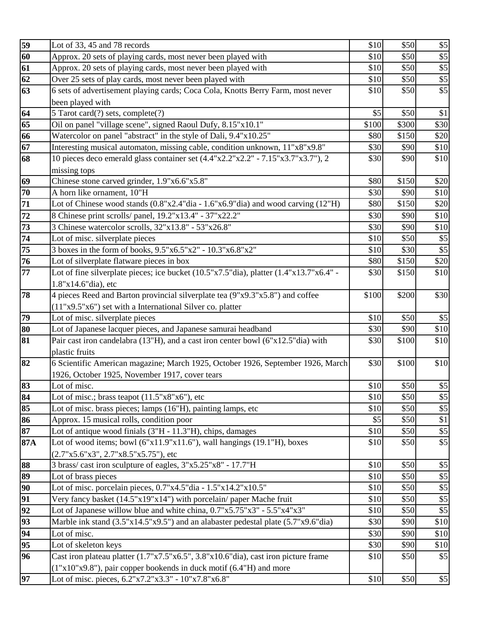| 59       | Lot of 33, 45 and 78 records                                                                                              | \$10  | \$50  | $\$5$                     |
|----------|---------------------------------------------------------------------------------------------------------------------------|-------|-------|---------------------------|
| 60       | Approx. 20 sets of playing cards, most never been played with                                                             | \$10  | \$50  | $\$5$                     |
| 61       | Approx. 20 sets of playing cards, most never been played with                                                             | \$10  | \$50  | $\sqrt[6]{5}$             |
| 62       | Over 25 sets of play cards, most never been played with                                                                   | \$10  | \$50  | $\overline{\$5}$          |
| 63       | 6 sets of advertisement playing cards; Coca Cola, Knotts Berry Farm, most never                                           | \$10  | \$50  | $\overline{$}5$           |
|          | been played with                                                                                                          |       |       |                           |
| 64       | 5 Tarot card(?) sets, complete(?)                                                                                         | \$5   | \$50  | \$1                       |
| 65       | Oil on panel "village scene", signed Raoul Dufy, 8.15"x10.1"                                                              | \$100 | \$300 | \$30                      |
| 66       | Watercolor on panel "abstract" in the style of Dali, 9.4"x10.25"                                                          | \$80  | \$150 | \$20                      |
| 67       | Interesting musical automaton, missing cable, condition unknown, 11"x8"x9.8"                                              | \$30  | \$90  | \$10                      |
| 68       | 10 pieces deco emerald glass container set (4.4"x2.2"x2.2" - 7.15"x3.7"x3.7"), 2                                          | \$30  | \$90  | \$10                      |
|          | missing tops                                                                                                              |       |       |                           |
| 69       | Chinese stone carved grinder, 1.9"x6.6"x5.8"                                                                              | \$80  | \$150 | \$20                      |
| 70       | A horn like ornament, 10"H                                                                                                | \$30  | \$90  | \$10                      |
| 71       | Lot of Chinese wood stands $(0.8"x2.4"dia - 1.6"x6.9"dia)$ and wood carving $(12"H)$                                      | \$80  | \$150 | \$20                      |
| 72       | 8 Chinese print scrolls/ panel, 19.2"x13.4" - 37"x22.2"                                                                   | \$30  | \$90  | \$10                      |
| 73       | 3 Chinese watercolor scrolls, 32"x13.8" - 53"x26.8"                                                                       | \$30  | \$90  | \$10                      |
| 74       | Lot of misc. silverplate pieces                                                                                           | \$10  | \$50  | \$5                       |
| 75       | $\frac{1}{3}$ boxes in the form of books, 9.5"x6.5"x2" - 10.3"x6.8"x2"                                                    | \$10  | \$30  | $\overline{\$5}$          |
| 76       | Lot of silverplate flatware pieces in box                                                                                 | \$80  | \$150 | \$20                      |
| 77       | Lot of fine silverplate pieces; ice bucket (10.5"x7.5"dia), platter (1.4"x13.7"x6.4" -                                    | \$30  | \$150 | \$10                      |
|          | 1.8"x14.6"dia), etc                                                                                                       |       |       |                           |
| 78       | 4 pieces Reed and Barton provincial silverplate tea (9"x9.3"x5.8") and coffee                                             | \$100 | \$200 | \$30                      |
|          | (11"x9.5"x6") set with a International Silver co. platter                                                                 |       |       |                           |
| 79       | Lot of misc. silverplate pieces                                                                                           | \$10  | \$50  | \$5                       |
| 80       | Lot of Japanese lacquer pieces, and Japanese samurai headband                                                             | \$30  | \$90  | \$10                      |
| 81       | Pair cast iron candelabra (13"H), and a cast iron center bowl (6"x12.5"dia) with                                          | \$30  | \$100 | \$10                      |
|          | plastic fruits                                                                                                            |       |       |                           |
| 82       | 6 Scientific American magazine; March 1925, October 1926, September 1926, March                                           | \$30  | \$100 | \$10                      |
|          | 1926, October 1925, November 1917, cover tears                                                                            |       |       |                           |
| 83       | Lot of misc.                                                                                                              | \$10  | \$50  | \$5                       |
| 84       | Lot of misc.; brass teapot $(11.5"x8"x6")$ , etc                                                                          | \$10  | \$50  | $\$5$                     |
| 85       | Lot of misc. brass pieces; lamps (16"H), painting lamps, etc                                                              | \$10  | \$50  | $\$5$                     |
| 86       | Approx. 15 musical rolls, condition poor                                                                                  | \$5   | \$50  | \$1                       |
| 87       | Lot of antique wood finials (3"H - 11.3"H), chips, damages                                                                | \$10  | \$50  | $\$5$<br>$\overline{$}5$  |
| 87A      | Lot of wood items; bowl $(6"x11.9"x11.6"$ , wall hangings $(19.1"H)$ , boxes                                              | \$10  | \$50  |                           |
|          | $(2.7"x5.6"x3", 2.7"x8.5"x5.75"),$ etc                                                                                    | \$10  | \$50  |                           |
| 88<br>89 | 3 brass/cast iron sculpture of eagles, $3"x5.25"x8" - 17.7"H$                                                             | \$10  | \$50  | $\$5$<br>$\overline{\$5}$ |
| 90       | Lot of brass pieces<br>Lot of misc. porcelain pieces, 0.7"x4.5"dia - 1.5"x14.2"x10.5"                                     | \$10  | \$50  | $$5\,$                    |
| 91       | Very fancy basket (14.5"x19"x14") with porcelain/ paper Mache fruit                                                       | \$10  | \$50  | $\sqrt[6]{5}$             |
| 92       | Lot of Japanese willow blue and white china, $0.7"x5.75"x3" - 5.5"x4"x3"$                                                 | \$10  | \$50  | $\overline{$}5$           |
| 93       | Marble ink stand (3.5"x14.5"x9.5") and an alabaster pedestal plate (5.7"x9.6"dia)                                         | \$30  | \$90  | \$10                      |
| 94       |                                                                                                                           | \$30  | \$90  |                           |
|          |                                                                                                                           |       |       | \$10                      |
|          | Lot of misc.                                                                                                              |       |       |                           |
| 95       | Lot of skeleton keys                                                                                                      | \$30  | \$90  | \$10                      |
| 96       | Cast iron plateau platter (1.7"x7.5"x6.5", 3.8"x10.6"dia), cast iron picture frame                                        | \$10  | \$50  | \$5                       |
| 97       | (1"x10"x9.8"), pair copper bookends in duck motif (6.4"H) and more<br>Lot of misc. pieces, 6.2"x7.2"x3.3" - 10"x7.8"x6.8" | \$10  | \$50  | \$5                       |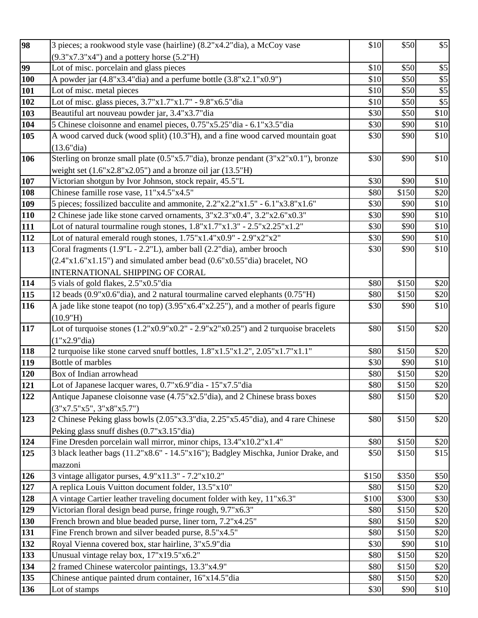| 98           | 3 pieces; a rookwood style vase (hairline) (8.2"x4.2"dia), a McCoy vase                         | \$10         | \$50  | \$5              |
|--------------|-------------------------------------------------------------------------------------------------|--------------|-------|------------------|
|              | $(9.3"x7.3"x4")$ and a pottery horse $(5.2"H)$                                                  |              |       |                  |
| 99           | Lot of misc. porcelain and glass pieces                                                         | \$10         | \$50  | \$5              |
| 100          | A powder jar (4.8"x3.4"dia) and a perfume bottle (3.8"x2.1"x0.9")                               | \$10         | \$50  | $\overline{\$5}$ |
| 101          | Lot of misc. metal pieces                                                                       | \$10         | \$50  | $\overline{\$5}$ |
| 102          | Lot of misc. glass pieces, 3.7"x1.7"x1.7" - 9.8"x6.5"dia                                        | \$10         | \$50  | $\overline{\$5}$ |
| 103          | Beautiful art nouveau powder jar, 3.4"x3.7"dia                                                  | \$30         | \$50  | \$10             |
| 104          | 5 Chinese cloisonne and enamel pieces, 0.75"x5.25"dia - 6.1"x3.5"dia                            | \$30         | \$90  | \$10             |
| 105          | A wood carved duck (wood split) (10.3"H), and a fine wood carved mountain goat                  | \$30         | \$90  | \$10             |
|              | (13.6"dia)                                                                                      |              |       |                  |
| 106          | Sterling on bronze small plate (0.5"x5.7"dia), bronze pendant (3"x2"x0.1"), bronze              | \$30         | \$90  | \$10             |
|              | weight set $(1.6"x2.8"x2.05")$ and a bronze oil jar $(13.5"H)$                                  |              |       |                  |
| 107          | Victorian shotgun by Ivor Johnson, stock repair, 45.5"L                                         | \$30         | \$90  | \$10             |
| 108          | Chinese famille rose vase, 11"x4.5"x4.5"                                                        | \$80         | \$150 | \$20             |
| 109          | 5 pieces; fossilized bacculite and ammonite, 2.2"x2.2"x1.5" - 6.1"x3.8"x1.6"                    | \$30         | \$90  | \$10             |
| 110          | 2 Chinese jade like stone carved ornaments, 3"x2.3"x0.4", 3.2"x2.6"x0.3"                        | \$30         | \$90  | \$10             |
| 111          | Lot of natural tourmaline rough stones, $1.8"x1.7"x1.3" - 2.5"x2.25"x1.2"$                      | \$30         | \$90  | \$10             |
| 112          | Lot of natural emerald rough stones, $1.75"x1.4"x0.9" - 2.9"x2"x2"$                             | \$30         | \$90  | \$10             |
| 113          | Coral fragments (1.9"L - 2.2"L), amber ball (2.2"dia), amber brooch                             | \$30         | \$90  | \$10             |
|              | $(2.4"x1.6"x1.15")$ and simulated amber bead $(0.6"x0.55"$ dia) bracelet, NO                    |              |       |                  |
|              | <b>INTERNATIONAL SHIPPING OF CORAL</b>                                                          |              |       |                  |
| 114          | 5 vials of gold flakes, 2.5"x0.5"dia                                                            | \$80         | \$150 | \$20             |
| 115          | 12 beads (0.9"x0.6"dia), and 2 natural tourmaline carved elephants (0.75"H)                     | \$80         | \$150 | \$20             |
| 116          | A jade like stone teapot (no top) (3.95"x6.4"x2.25"), and a mother of pearls figure<br>(10.9"H) | \$30         | \$90  | \$10             |
| 117          | Lot of turquoise stones $(1.2"x0.9"x0.2" - 2.9"x2"x0.25")$ and 2 turquoise bracelets            | \$80         | \$150 | \$20             |
|              | (1"x2.9"dia)                                                                                    |              |       |                  |
| 118          | 2 turquoise like stone carved snuff bottles, 1.8"x1.5"x1.2", 2.05"x1.7"x1.1"                    | \$80         | \$150 | \$20             |
| 119          | Bottle of marbles                                                                               | \$30         | \$90  | \$10             |
| 120          | Box of Indian arrowhead                                                                         | \$80         | \$150 | \$20             |
| 121          | Lot of Japanese lacquer wares, 0.7"x6.9"dia - 15"x7.5"dia                                       | \$80         | \$150 | \$20             |
| $\sqrt{122}$ | Antique Japanese cloisonne vase (4.75"x2.5"dia), and 2 Chinese brass boxes                      | \$80         | \$150 | \$20             |
|              | (3"x7.5"x5", 3"x8"x5.7")                                                                        |              |       |                  |
| 123          | 2 Chinese Peking glass bowls (2.05"x3.3"dia, 2.25"x5.45"dia), and 4 rare Chinese                | \$80         | \$150 | \$20             |
|              | Peking glass snuff dishes (0.7"x3.15"dia)                                                       |              |       |                  |
| 124          | Fine Dresden porcelain wall mirror, minor chips, 13.4"x10.2"x1.4"                               | \$80         | \$150 | \$20             |
| 125          | 3 black leather bags (11.2"x8.6" - 14.5"x16"); Badgley Mischka, Junior Drake, and               | \$50         | \$150 | \$15             |
|              | mazzoni                                                                                         |              |       |                  |
| 126          | 3 vintage alligator purses, 4.9"x11.3" - 7.2"x10.2"                                             | \$150        | \$350 | \$50             |
| 127          | A replica Louis Vuitton document folder, 13.5"x10"                                              | \$80         | \$150 | \$20             |
| 128          | A vintage Cartier leather traveling document folder with key, 11"x6.3"                          | \$100        | \$300 | \$30             |
| 129          | Victorian floral design bead purse, fringe rough, 9.7"x6.3"                                     | \$80         | \$150 | \$20             |
| 130          | French brown and blue beaded purse, liner torn, 7.2"x4.25"                                      | \$80         | \$150 | \$20             |
| 131          | Fine French brown and silver beaded purse, 8.5"x4.5"                                            | \$80         | \$150 | \$20             |
| 132          | Royal Vienna covered box, star hairline, 3"x5.9"dia                                             | \$30         | \$90  | \$10             |
| 133          | Unusual vintage relay box, 17"x19.5"x6.2"                                                       | \$80         | \$150 | \$20             |
| 134          | 2 framed Chinese watercolor paintings, 13.3"x4.9"                                               | \$80         | \$150 | \$20             |
| 135          | Chinese antique painted drum container, 16"x14.5" dia                                           | \$80<br>\$30 | \$150 | \$20             |
| 136          | Lot of stamps                                                                                   |              | \$90  | \$10             |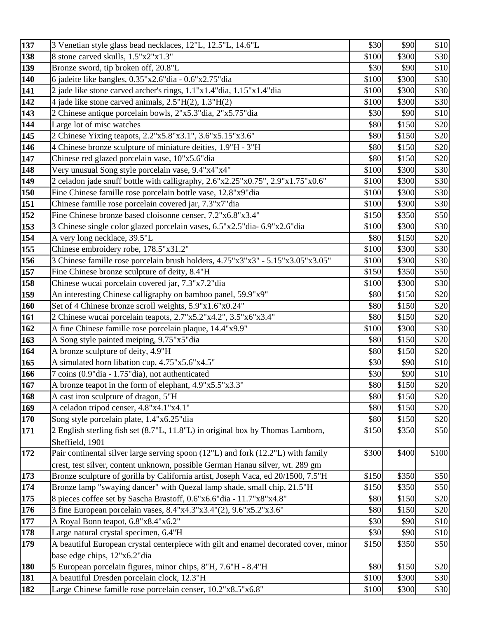| 137               | 3 Venetian style glass bead necklaces, 12"L, 12.5"L, 14.6"L                          | \$30         | \$90          | \$10         |
|-------------------|--------------------------------------------------------------------------------------|--------------|---------------|--------------|
| 138               | 8 stone carved skulls, 1.5"x2"x1.3"                                                  | \$100        | \$300         | \$30         |
| $\boxed{139}$     | Bronze sword, tip broken off, 20.8"L                                                 | \$30         | \$90          | \$10         |
| 140               | 6 jadeite like bangles, 0.35"x2.6"dia - 0.6"x2.75"dia                                | \$100        | \$300         | \$30         |
| 141               | 2 jade like stone carved archer's rings, 1.1"x1.4"dia, 1.15"x1.4"dia                 | \$100        | \$300         | \$30         |
| $\overline{1}$ 42 | 4 jade like stone carved animals, 2.5"H(2), 1.3"H(2)                                 | \$100        | \$300         | \$30         |
| 143               | 2 Chinese antique porcelain bowls, 2"x5.3"dia, 2"x5.75"dia                           | \$30         | \$90          | \$10         |
| 144               | Large lot of misc watches                                                            | \$80         | \$150         | \$20         |
| 145               | 2 Chinese Yixing teapots, 2.2"x5.8"x3.1", 3.6"x5.15"x3.6"                            | \$80         | \$150         | \$20         |
| 146               | 4 Chinese bronze sculpture of miniature deities, 1.9"H - 3"H                         | \$80         | \$150         | \$20         |
| 147               | Chinese red glazed porcelain vase, 10"x5.6"dia                                       | \$80         | \$150         | \$20         |
| $\overline{148}$  | Very unusual Song style porcelain vase, 9.4"x4"x4"                                   | \$100        | \$300         | \$30         |
| 149               | 2 celadon jade snuff bottle with calligraphy, 2.6"x2.25"x0.75", 2.9"x1.75"x0.6"      | \$100        | \$300         | \$30         |
| 150               | Fine Chinese famille rose porcelain bottle vase, 12.8"x9"dia                         | \$100        | \$300         | \$30         |
| 151               | Chinese famille rose porcelain covered jar, 7.3"x7"dia                               | \$100        | \$300         | \$30         |
| 152               | Fine Chinese bronze based cloisonne censer, 7.2"x6.8"x3.4"                           | \$150        | \$350         | \$50         |
| $\overline{153}$  | 3 Chinese single color glazed porcelain vases, 6.5"x2.5"dia- 6.9"x2.6"dia            | \$100        | \$300         | \$30         |
| 154               | A very long necklace, 39.5"L                                                         | \$80         | \$150         | \$20         |
| 155               | Chinese embroidery robe, 178.5"x31.2"                                                | \$100        | \$300         | \$30         |
| 156               | 3 Chinese famille rose porcelain brush holders, $4.75"x3"x3" - 5.15"x3.05"x3.05"$    | \$100        | \$300         | \$30         |
| $\overline{157}$  | Fine Chinese bronze sculpture of deity, 8.4"H                                        | \$150        | \$350         | \$50         |
| 158               | Chinese wucai porcelain covered jar, 7.3"x7.2"dia                                    | \$100        | \$300         | \$30         |
| 159               | An interesting Chinese calligraphy on bamboo panel, 59.9"x9"                         | \$80         | \$150         | \$20         |
| <b>160</b>        | Set of 4 Chinese bronze scroll weights, 5.9"x1.6"x0.24"                              | \$80         | \$150         | \$20         |
| 161               | 2 Chinese wucai porcelain teapots, 2.7"x5.2"x4.2", 3.5"x6"x3.4"                      | \$80         | \$150         | \$20         |
| 162               | A fine Chinese famille rose porcelain plaque, 14.4"x9.9"                             | \$100        | \$300         | \$30         |
| 163               | A Song style painted meiping, 9.75"x5"dia                                            | \$80         | \$150         | \$20         |
| 164<br>165        | A bronze sculpture of deity, 4.9"H<br>A simulated horn libation cup, 4.75"x5.6"x4.5" | \$80<br>\$30 | \$150<br>\$90 | \$20<br>\$10 |
| 166               | 7 coins (0.9"dia - 1.75"dia), not authenticated                                      | \$30         | \$90          | \$10         |
| 167               | A bronze teapot in the form of elephant, 4.9"x5.5"x3.3"                              | \$80         | \$150         | \$20         |
| 168               | A cast iron sculpture of dragon, 5"H                                                 | \$80         | \$150         | \$20         |
| 169               | A celadon tripod censer, 4.8"x4.1"x4.1"                                              | \$80         | \$150         | \$20         |
| 170               | Song style porcelain plate, 1.4"x6.25"dia                                            | \$80         | \$150         | \$20         |
| 171               | 2 English sterling fish set (8.7"L, 11.8"L) in original box by Thomas Lamborn,       | \$150        | \$350         | \$50         |
|                   | Sheffield, 1901                                                                      |              |               |              |
| 172               | Pair continental silver large serving spoon (12"L) and fork (12.2"L) with family     | \$300        | \$400         | \$100        |
|                   | crest, test silver, content unknown, possible German Hanau silver, wt. 289 gm        |              |               |              |
| 173               | Bronze sculpture of gorilla by California artist, Joseph Vaca, ed 20/1500, 7.5"H     | \$150        | \$350         | \$50         |
| 174               | Bronze lamp "swaying dancer" with Quezal lamp shade, small chip, 21.5"H              | \$150        | \$350         | \$50         |
| 175               | 8 pieces coffee set by Sascha Brastoff, 0.6"x6.6"dia - 11.7"x8"x4.8"                 | \$80         | \$150         | \$20         |
| 176               | 3 fine European porcelain vases, 8.4"x4.3"x3.4"(2), 9.6"x5.2"x3.6"                   | \$80         | \$150         | \$20         |
| 177               | A Royal Bonn teapot, 6.8"x8.4"x6.2"                                                  | \$30         | \$90          | \$10         |
| 178               | Large natural crystal specimen, 6.4"H                                                | \$30         | \$90          | \$10         |
| 179               | A beautiful European crystal centerpiece with gilt and enamel decorated cover, minor | \$150        | \$350         | \$50         |
|                   | base edge chips, 12"x6.2"dia                                                         |              |               |              |
| 180               | 5 European porcelain figures, minor chips, 8"H, 7.6"H - 8.4"H                        | \$80         | \$150         | \$20         |
| 181               | A beautiful Dresden porcelain clock, 12.3"H                                          | \$100        | \$300         | \$30         |
| 182               | Large Chinese famille rose porcelain censer, 10.2"x8.5"x6.8"                         | \$100        | \$300         | \$30         |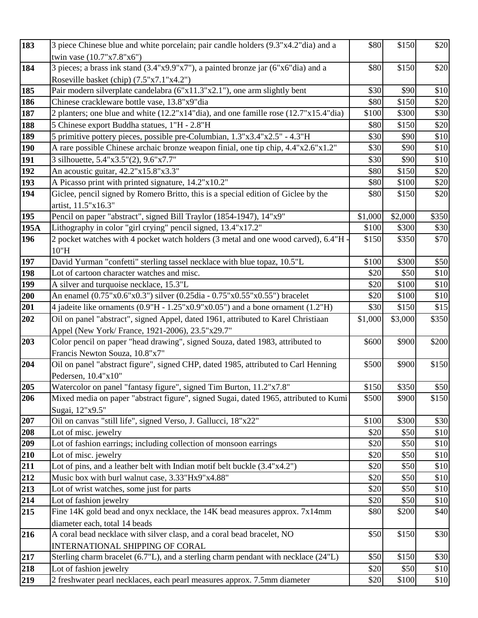| 183        | 3 piece Chinese blue and white porcelain; pair candle holders (9.3"x4.2"dia) and a   | \$80    | \$150   | \$20  |
|------------|--------------------------------------------------------------------------------------|---------|---------|-------|
|            | twin vase (10.7"x7.8"x6")                                                            |         |         |       |
| 184        | 3 pieces; a brass ink stand (3.4"x9.9"x7"), a painted bronze jar (6"x6"dia) and a    | \$80    | \$150   | \$20  |
|            | Roseville basket (chip) (7.5"x7.1"x4.2")                                             |         |         |       |
| 185        | Pair modern silverplate candelabra (6"x11.3"x2.1"), one arm slightly bent            | \$30    | \$90    | \$10  |
| 186        | Chinese crackleware bottle vase, 13.8"x9"dia                                         | \$80    | \$150   | \$20  |
| 187        | 2 planters; one blue and white (12.2"x14"dia), and one famille rose (12.7"x15.4"dia) | \$100   | \$300   | \$30  |
| 188        | 5 Chinese export Buddha statues, 1"H - 2.8"H                                         | \$80    | \$150   | \$20  |
| 189        | 5 primitive pottery pieces, possible pre-Columbian, 1.3"x3.4"x2.5" - 4.3"H           | \$30    | \$90    | \$10  |
| <b>190</b> | A rare possible Chinese archaic bronze weapon finial, one tip chip, 4.4"x2.6"x1.2"   | \$30    | \$90    | \$10  |
| 191        | 3 silhouette, 5.4"x3.5"(2), 9.6"x7.7"                                                | \$30    | \$90    | \$10  |
| 192        | An acoustic guitar, 42.2"x15.8"x3.3"                                                 | \$80    | \$150   | \$20  |
| 193        | A Picasso print with printed signature, 14.2"x10.2"                                  | \$80    | \$100   | \$20  |
| 194        | Giclee, pencil signed by Romero Britto, this is a special edition of Giclee by the   | \$80    | \$150   | \$20  |
|            | artist, 11.5"x16.3"                                                                  |         |         |       |
| 195        | Pencil on paper "abstract", signed Bill Traylor (1854-1947), 14"x9"                  | \$1,000 | \$2,000 | \$350 |
| 195A       | Lithography in color "girl crying" pencil signed, 13.4"x17.2"                        | \$100   | \$300   | \$30  |
| 196        | 2 pocket watches with 4 pocket watch holders (3 metal and one wood carved), 6.4"H -  | \$150   | \$350   | \$70  |
|            | 10"H                                                                                 |         |         |       |
| 197        | David Yurman "confetti" sterling tassel necklace with blue topaz, 10.5"L             | \$100   | \$300   | \$50  |
| 198        | Lot of cartoon character watches and misc.                                           | \$20    | \$50    | \$10  |
| 199        | A silver and turquoise necklace, 15.3"L                                              | \$20    | \$100   | \$10  |
| 200        | An enamel (0.75"x0.6"x0.3") silver (0.25dia - 0.75"x0.55"x0.55") bracelet            | \$20    | \$100   | \$10  |
| 201        | 4 jadeite like ornaments (0.9"H - 1.25"x0.9"x0.05") and a bone ornament (1.2"H)      | \$30    | \$150   | \$15  |
| 202        | Oil on panel "abstract", signed Appel, dated 1961, attributed to Karel Christiaan    | \$1,000 | \$3,000 | \$350 |
|            | Appel (New York/France, 1921-2006), 23.5"x29.7"                                      |         |         |       |
| 203        | Color pencil on paper "head drawing", signed Souza, dated 1983, attributed to        | \$600   | \$900   | \$200 |
|            | Francis Newton Souza, 10.8"x7"                                                       |         |         |       |
| 204        | Oil on panel "abstract figure", signed CHP, dated 1985, attributed to Carl Henning   | \$500   | \$900   | \$150 |
|            | Pedersen, 10.4"x10"                                                                  |         |         |       |
| 205        | Watercolor on panel "fantasy figure", signed Tim Burton, 11.2"x7.8"                  | \$150   | \$350   | \$50  |
| 206        | Mixed media on paper "abstract figure", signed Sugai, dated 1965, attributed to Kumi | \$500   | \$900   | \$150 |
| 207        | Sugai, 12"x9.5"<br>Oil on canvas "still life", signed Verso, J. Gallucci, 18"x22"    | \$100   | \$300   | \$30  |
| 208        | Lot of misc. jewelry                                                                 | \$20    | \$50    | \$10  |
| 209        | Lot of fashion earrings; including collection of monsoon earrings                    | \$20    | \$50    | \$10  |
| 210        | Lot of misc. jewelry                                                                 | \$20    | \$50    | \$10  |
| 211        | Lot of pins, and a leather belt with Indian motif belt buckle (3.4"x4.2")            | \$20    | \$50    | \$10  |
| 212        | Music box with burl walnut case, 3.33"Hx9"x4.88"                                     | \$20    | \$50    | \$10  |
| 213        | Lot of wrist watches, some just for parts                                            | \$20    | \$50    | \$10  |
| 214        | Lot of fashion jewelry                                                               | \$20    | \$50    | \$10  |
| 215        | Fine 14K gold bead and onyx necklace, the 14K bead measures approx. 7x14mm           | \$80    | \$200   | \$40  |
|            | diameter each, total 14 beads                                                        |         |         |       |
| 216        | A coral bead necklace with silver clasp, and a coral bead bracelet, NO               | \$50    | \$150   | \$30  |
|            | INTERNATIONAL SHIPPING OF CORAL                                                      |         |         |       |
| 217        | Sterling charm bracelet (6.7"L), and a sterling charm pendant with necklace (24"L)   | \$50    | \$150   | \$30  |
| 218        | Lot of fashion jewelry                                                               | \$20    | \$50    | \$10  |
| 219        | 2 freshwater pearl necklaces, each pearl measures approx. 7.5mm diameter             | \$20    | \$100   | \$10  |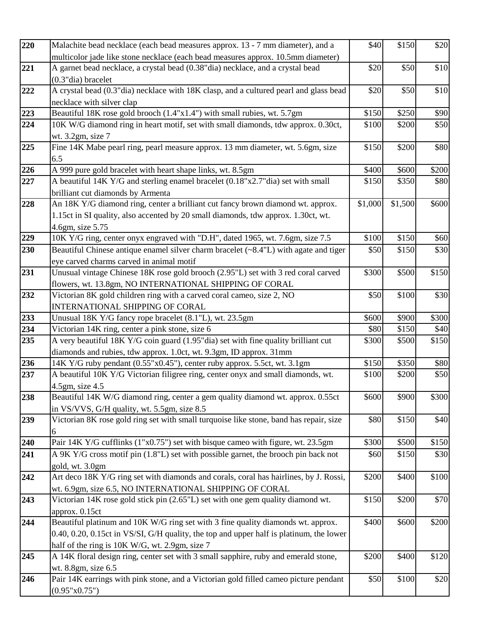| 220 | Malachite bead necklace (each bead measures approx. 13 - 7 mm diameter), and a                                                         | \$40    | \$150   | \$20  |
|-----|----------------------------------------------------------------------------------------------------------------------------------------|---------|---------|-------|
|     | multicolor jade like stone necklace (each bead measures approx. 10.5mm diameter)                                                       |         |         |       |
| 221 | A garnet bead necklace, a crystal bead (0.38"dia) necklace, and a crystal bead<br>$(0.3"$ dia) bracelet                                | \$20    | \$50    | \$10  |
|     |                                                                                                                                        |         |         |       |
| 222 | A crystal bead (0.3"dia) necklace with 18K clasp, and a cultured pearl and glass bead<br>necklace with silver clap                     | \$20    | \$50    | \$10  |
| 223 | Beautiful 18K rose gold brooch $(1.4"x1.4")$ with small rubies, wt. 5.7gm                                                              | \$150   | \$250   | \$90  |
|     |                                                                                                                                        |         |         |       |
| 224 | 10K W/G diamond ring in heart motif, set with small diamonds, tdw approx. 0.30ct,<br>wt. 3.2gm, size 7                                 | \$100   | \$200   | \$50  |
| 225 | Fine 14K Mabe pearl ring, pearl measure approx. 13 mm diameter, wt. 5.6gm, size                                                        | \$150   | \$200   | \$80  |
|     | 6.5                                                                                                                                    |         |         |       |
| 226 | A 999 pure gold bracelet with heart shape links, wt. 8.5gm                                                                             | \$400   | \$600   | \$200 |
| 227 | A beautiful 14K Y/G and sterling enamel bracelet (0.18"x2.7"dia) set with small                                                        | \$150   | \$350   | \$80  |
|     | brilliant cut diamonds by Armenta                                                                                                      |         |         |       |
| 228 | An 18K Y/G diamond ring, center a brilliant cut fancy brown diamond wt. approx.                                                        | \$1,000 | \$1,500 | \$600 |
|     | 1.15ct in SI quality, also accented by 20 small diamonds, tdw approx. 1.30ct, wt.                                                      |         |         |       |
|     | 4.6gm, size 5.75                                                                                                                       |         |         |       |
| 229 | 10K Y/G ring, center onyx engraved with "D.H", dated 1965, wt. 7.6gm, size 7.5                                                         | \$100   | \$150   | \$60  |
|     |                                                                                                                                        |         | \$150   | \$30  |
| 230 | Beautiful Chinese antique enamel silver charm bracelet $(\sim 8.4"L)$ with agate and tiger<br>eye carved charms carved in animal motif | \$50    |         |       |
| 231 | Unusual vintage Chinese 18K rose gold brooch (2.95"L) set with 3 red coral carved                                                      | \$300   | \$500   | \$150 |
|     | flowers, wt. 13.8gm, NO INTERNATIONAL SHIPPING OF CORAL                                                                                |         |         |       |
| 232 | Victorian 8K gold children ring with a carved coral cameo, size 2, NO                                                                  | \$50    | \$100   | \$30  |
|     | <b>INTERNATIONAL SHIPPING OF CORAL</b>                                                                                                 |         |         |       |
| 233 | Unusual 18K Y/G fancy rope bracelet (8.1"L), wt. 23.5gm                                                                                | \$600   | \$900   | \$300 |
| 234 | Victorian 14K ring, center a pink stone, size 6                                                                                        | \$80    | \$150   | \$40  |
| 235 | A very beautiful 18K Y/G coin guard (1.95"dia) set with fine quality brilliant cut                                                     | \$300   | \$500   | \$150 |
|     | diamonds and rubies, tdw approx. 1.0ct, wt. 9.3gm, ID approx. 31mm                                                                     |         |         |       |
| 236 | 14K Y/G ruby pendant (0.55"x0.45"), center ruby approx. 5.5ct, wt. 3.1gm                                                               | \$150   | \$350   | \$80  |
| 237 | A beautiful 10K Y/G Victorian filigree ring, center onyx and small diamonds, wt.                                                       | \$100   | \$200   | \$50  |
|     | $4.5$ gm, size $4.5$                                                                                                                   |         |         |       |
| 238 | Beautiful 14K W/G diamond ring, center a gem quality diamond wt. approx. 0.55ct                                                        | \$600   | \$900   | \$300 |
|     | in VS/VVS, G/H quality, wt. 5.5gm, size 8.5                                                                                            |         |         |       |
| 239 | Victorian 8K rose gold ring set with small turquoise like stone, band has repair, size                                                 | \$80    | \$150   | \$40  |
|     | 6                                                                                                                                      |         |         |       |
| 240 | Pair 14K Y/G cufflinks (1"x0.75") set with bisque cameo with figure, wt. 23.5gm                                                        | \$300   | \$500   | \$150 |
| 241 | A 9K Y/G cross motif pin (1.8"L) set with possible garnet, the brooch pin back not                                                     | \$60    | \$150   | \$30  |
|     | gold, wt. 3.0gm                                                                                                                        |         |         |       |
| 242 | Art deco 18K Y/G ring set with diamonds and corals, coral has hairlines, by J. Rossi,                                                  | \$200   | \$400   | \$100 |
|     | wt. 6.9gm, size 6.5, NO INTERNATIONAL SHIPPING OF CORAL                                                                                |         |         |       |
| 243 | Victorian 14K rose gold stick pin (2.65"L) set with one gem quality diamond wt.                                                        | \$150   | \$200   | \$70  |
|     | approx. 0.15ct                                                                                                                         |         |         |       |
| 244 | Beautiful platinum and 10K W/G ring set with 3 fine quality diamonds wt. approx.                                                       | \$400   | \$600   | \$200 |
|     | 0.40, 0.20, 0.15ct in VS/SI, G/H quality, the top and upper half is platinum, the lower                                                |         |         |       |
|     | half of the ring is 10K W/G, wt. 2.9gm, size 7                                                                                         |         |         |       |
| 245 | A 14K floral design ring, center set with 3 small sapphire, ruby and emerald stone,                                                    | \$200   | \$400   | \$120 |
|     | wt. 8.8gm, size 6.5                                                                                                                    |         |         |       |
| 246 | Pair 14K earrings with pink stone, and a Victorian gold filled cameo picture pendant                                                   | \$50    | \$100   | \$20  |
|     | (0.95"x0.75")                                                                                                                          |         |         |       |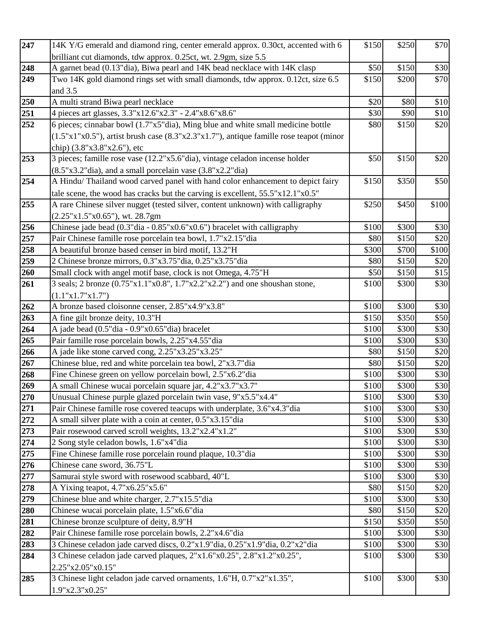| 247 | 14K Y/G emerald and diamond ring, center emerald approx. 0.30ct, accented with 6       | \$150 | \$250 | \$70  |
|-----|----------------------------------------------------------------------------------------|-------|-------|-------|
|     | brilliant cut diamonds, tdw approx. 0.25ct, wt. 2.9gm, size 5.5                        |       |       |       |
| 248 | A garnet bead (0.13"dia), Biwa pearl and 14K bead necklace with 14K clasp              | \$50  | \$150 | \$30  |
| 249 | Two 14K gold diamond rings set with small diamonds, tdw approx. 0.12ct, size 6.5       | \$150 | \$200 | \$70  |
|     | and 3.5                                                                                |       |       |       |
| 250 | A multi strand Biwa pearl necklace                                                     | \$20  | \$80  | \$10  |
| 251 | 4 pieces art glasses, 3.3"x12.6"x2.3" - 2.4"x8.6"x8.6"                                 | \$30  | \$90  | \$10  |
| 252 | 6 pieces; cinnabar bowl (1.7"x5"dia), Ming blue and white small medicine bottle        | \$80  | \$150 | \$20  |
|     | (1.5"x1"x0.5"), artist brush case (8.3"x2.3"x1.7"), antique famille rose teapot (minor |       |       |       |
|     | chip) (3.8"x3.8"x2.6"), etc                                                            |       |       |       |
| 253 | 3 pieces; famille rose vase (12.2"x5.6"dia), vintage celadon incense holder            | \$50  | \$150 | \$20  |
|     | $(8.5"x3.2"dia)$ , and a small porcelain vase $(3.8"x2.2"dia)$                         |       |       |       |
| 254 | A Hindu/Thailand wood carved panel with hand color enhancement to depict fairy         | \$150 | \$350 | \$50  |
|     | tale scene, the wood has cracks but the carving is excellent, 55.5"x12.1"x0.5"         |       |       |       |
| 255 | A rare Chinese silver nugget (tested silver, content unknown) with calligraphy         | \$250 | \$450 | \$100 |
|     | $(2.25"x1.5"x0.65")$ , wt. 28.7gm                                                      |       |       |       |
| 256 | Chinese jade bead (0.3"dia - 0.85"x0.6"x0.6") bracelet with calligraphy                | \$100 | \$300 | \$30  |
| 257 | Pair Chinese famille rose porcelain tea bowl, 1.7"x2.15"dia                            | \$80  | \$150 | \$20  |
| 258 | A beautiful bronze based censer in bird motif, 13.2"H                                  | \$300 | \$700 | \$100 |
| 259 | 2 Chinese bronze mirrors, 0.3"x3.75"dia, 0.25"x3.75"dia                                | \$80  | \$150 | \$20  |
| 260 | Small clock with angel motif base, clock is not Omega, 4.75"H                          | \$50  | \$150 | \$15  |
| 261 | 3 seals; 2 bronze (0.75"x1.1"x0.8", 1.7"x2.2"x2.2") and one shoushan stone,            | \$100 | \$300 | \$30  |
|     | (1.1"x1.7"x1.7")                                                                       |       |       |       |
| 262 | A bronze based cloisonne censer, 2.85"x4.9"x3.8"                                       | \$100 | \$300 | \$30  |
| 263 | A fine gilt bronze deity, 10.3"H                                                       | \$150 | \$350 | \$50  |
| 264 | A jade bead (0.5"dia - 0.9"x0.65"dia) bracelet                                         | \$100 | \$300 | \$30  |
| 265 | Pair famille rose porcelain bowls, 2.25"x4.55" dia                                     | \$100 | \$300 | \$30  |
| 266 | A jade like stone carved cong, 2.25"x3.25"x3.25"                                       | \$80  | \$150 | \$20  |
| 267 | Chinese blue, red and white porcelain tea bowl, 2"x3.7"dia                             | \$80  | \$150 | \$20  |
| 268 | Fine Chinese green on yellow porcelain bowl, 2.5"x6.2"dia                              | \$100 | \$300 | \$30  |
| 269 | A small Chinese wucai porcelain square jar, 4.2"x3.7"x3.7"                             | \$100 | \$300 | \$30  |
| 270 | Unusual Chinese purple glazed porcelain twin vase, 9"x5.5"x4.4"                        | \$100 | \$300 | \$30  |
| 271 | Pair Chinese famille rose covered teacups with underplate, 3.6"x4.3" dia               | \$100 | \$300 | \$30  |
| 272 | A small silver plate with a coin at center, 0.5"x3.15"dia                              | \$100 | \$300 | \$30  |
| 273 | Pair rosewood carved scroll weights, 13.2"x2.4"x1.2"                                   | \$100 | \$300 | \$30  |
| 274 | 2 Song style celadon bowls, 1.6"x4"dia                                                 | \$100 | \$300 | \$30  |
| 275 | Fine Chinese famille rose porcelain round plaque, 10.3" dia                            | \$100 | \$300 | \$30  |
| 276 | Chinese cane sword, 36.75"L                                                            | \$100 | \$300 | \$30  |
| 277 | Samurai style sword with rosewood scabbard, 40"L                                       | \$100 | \$300 | \$30  |
| 278 | A Yixing teapot, $4.7"x6.25"x5.6"$                                                     | \$80  | \$150 | \$20  |
| 279 | Chinese blue and white charger, 2.7"x15.5"dia                                          | \$100 | \$300 | \$30  |
| 280 | Chinese wucai porcelain plate, 1.5"x6.6"dia                                            | \$80  | \$150 | \$20  |
| 281 | Chinese bronze sculpture of deity, 8.9"H                                               | \$150 | \$350 | \$50  |
| 282 | Pair Chinese famille rose porcelain bowls, 2.2"x4.6"dia                                | \$100 | \$300 | \$30  |
| 283 | 3 Chinese celadon jade carved discs, 0.2"x1.9"dia, 0.25"x1.9"dia, 0.2"x2"dia           | \$100 | \$300 | \$30  |
| 284 | 3 Chinese celadon jade carved plaques, 2"x1.6"x0.25", 2.8"x1.2"x0.25",                 | \$100 | \$300 | \$30  |
|     | 2.25"x2.05"x0.15"                                                                      |       |       |       |
| 285 | 3 Chinese light celadon jade carved ornaments, 1.6"H, 0.7"x2"x1.35",                   | \$100 | \$300 | \$30  |
|     | 1.9"x2.3"x0.25"                                                                        |       |       |       |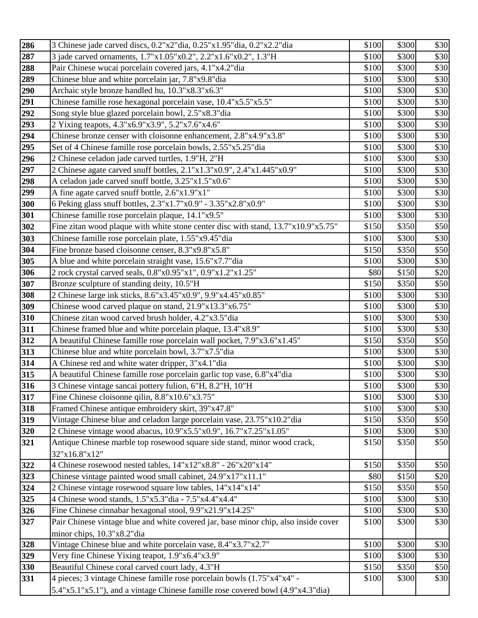| 286        | 3 Chinese jade carved discs, 0.2"x2"dia, 0.25"x1.95"dia, 0.2"x2.2"dia                                    | \$100          | \$300          | \$30         |
|------------|----------------------------------------------------------------------------------------------------------|----------------|----------------|--------------|
| 287        | 3 jade carved ornaments, 1.7"x1.05"x0.2", 2.2"x1.6"x0.2", 1.3"H                                          | \$100          | \$300          | \$30         |
| 288        | Pair Chinese wucai porcelain covered jars, 4.1"x4.2"dia                                                  | \$100          | \$300          | \$30         |
| 289        | Chinese blue and white porcelain jar, 7.8"x9.8" dia                                                      | \$100          | \$300          | \$30         |
| 290        | Archaic style bronze handled hu, 10.3"x8.3"x6.3"                                                         | \$100          | \$300          | \$30         |
| 291        | Chinese famille rose hexagonal porcelain vase, 10.4"x5.5"x5.5"                                           | \$100          | \$300          | \$30         |
| 292        | Song style blue glazed porcelain bowl, 2.5"x8.3"dia                                                      | \$100          | \$300          | \$30         |
| 293        | 2 Yixing teapots, 4.3"x6.9"x3.9", 5.2"x7.6"x4.6"                                                         | \$100          | \$300          | \$30         |
| 294        | Chinese bronze censer with cloisonne enhancement, 2.8"x4.9"x3.8"                                         | \$100          | \$300          | \$30         |
| 295        | Set of 4 Chinese famille rose porcelain bowls, 2.55"x5.25"dia                                            | \$100          | \$300          | \$30         |
| 296        | 2 Chinese celadon jade carved turtles, 1.9"H, 2"H                                                        | \$100          | \$300          | \$30         |
| 297        | 2 Chinese agate carved snuff bottles, 2.1"x1.3"x0.9", 2.4"x1.445"x0.9"                                   | \$100          | \$300          | \$30         |
| 298        | A celadon jade carved snuff bottle, 3.25"x1.5"x0.6"                                                      | \$100          | \$300          | \$30         |
| 299        | A fine agate carved snuff bottle, 2.6"x1.9"x1"                                                           | \$100          | \$300          | \$30         |
| 300        | 6 Peking glass snuff bottles, 2.3"x1.7"x0.9" - 3.35"x2.8"x0.9"                                           | \$100          | \$300          | \$30         |
| 301        | Chinese famille rose porcelain plaque, 14.1"x9.5"                                                        | \$100          | \$300          | \$30         |
| 302        | Fine zitan wood plaque with white stone center disc with stand, 13.7"x10.9"x5.75"                        | \$150          | \$350          | \$50         |
| 303        | Chinese famille rose porcelain plate, 1.55"x9.45"dia                                                     | \$100          | \$300          | \$30         |
| 304        | Fine bronze based cloisonne censer, 8.3"x9.8"x5.8"                                                       | \$150          | \$350          | \$50         |
| 305        | A blue and white porcelain straight vase, 15.6"x7.7"dia                                                  | \$100          | \$300          | \$30         |
| 306        | 2 rock crystal carved seals, 0.8"x0.95"x1", 0.9"x1.2"x1.25"                                              | \$80           | \$150          | \$20         |
| 307        | Bronze sculpture of standing deity, 10.5"H                                                               | \$150          | \$350          | \$50         |
| 308        | 2 Chinese large ink sticks, 8.6"x3.45"x0.9", 9.9"x4.45"x0.85"                                            | \$100          | \$300          | \$30         |
| 309        | Chinese wood carved plaque on stand, 21.9"x13.3"x6.75"                                                   | \$100          | \$300          | \$30         |
| 310        | Chinese zitan wood carved brush holder, 4.2"x3.5"dia                                                     | \$100          | \$300          | \$30         |
| 311        | Chinese framed blue and white porcelain plaque, 13.4"x8.9"                                               | \$100          | \$300          | \$30         |
| 312        | A beautiful Chinese famille rose porcelain wall pocket, 7.9"x3.6"x1.45"                                  | \$150          | \$350<br>\$300 | \$50<br>\$30 |
| 313<br>314 | Chinese blue and white porcelain bowl, 3.7"x7.5"dia<br>A Chinese red and white water dripper, 3"x4.1"dia | \$100<br>\$100 | \$300          | \$30         |
| 315        | A beautiful Chinese famille rose porcelain garlic top vase, 6.8"x4"dia                                   | \$100          | \$300          | \$30         |
| 316        | 3 Chinese vintage sancai pottery fulion, 6"H, 8.2"H, 10"H                                                | \$100          | \$300          | \$30         |
| 317        | Fine Chinese cloisonne qilin, 8.8"x10.6"x3.75"                                                           | \$100          | \$300          | \$30         |
| 318        | Framed Chinese antique embroidery skirt, 39"x47.8"                                                       | \$100          | \$300          | \$30         |
| 319        | Vintage Chinese blue and celadon large porcelain vase, 23.75"x10.2"dia                                   | \$150          | \$350          | \$50         |
| 320        | 2 Chinese vintage wood abacus, 10.9"x5.5"x0.9", 16.7"x7.25"x1.05"                                        | \$100          | \$300          | \$30         |
| 321        | Antique Chinese marble top rosewood square side stand, minor wood crack,                                 | \$150          | \$350          | \$50         |
|            | 32"x16.8"x12"                                                                                            |                |                |              |
| 322        | 4 Chinese rosewood nested tables, 14"x12"x8.8" - 26"x20"x14"                                             | \$150          | \$350          | \$50         |
| 323        | Chinese vintage painted wood small cabinet, 24.9"x17"x11.1"                                              | \$80           | \$150          | \$20         |
| 324        | 2 Chinese vintage rosewood square low tables, 14"x14"x14"                                                | \$150          | \$350          | \$50         |
| 325        | 4 Chinese wood stands, 1.5"x5.3"dia - 7.5"x4.4"x4.4"                                                     | \$100          | \$300          | \$30         |
| 326        | Fine Chinese cinnabar hexagonal stool, 9.9"x21.9"x14.25"                                                 | \$100          | \$300          | \$30         |
| 327        | Pair Chinese vintage blue and white covered jar, base minor chip, also inside cover                      | \$100          | \$300          | \$30         |
|            | minor chips, 10.3"x8.2"dia                                                                               |                |                |              |
| 328        | Vintage Chinese blue and white porcelain vase, 8.4"x3.7"x2.7"                                            | \$100          | \$300          | \$30         |
| 329        | Very fine Chinese Yixing teapot, 1.9"x6.4"x3.9"                                                          | \$100          | \$300          | \$30         |
| 330        | Beautiful Chinese coral carved court lady, 4.3"H                                                         | \$150          | \$350          | \$50         |
| 331        | 4 pieces; 3 vintage Chinese famille rose porcelain bowls (1.75"x4"x4" -                                  | \$100          | \$300          | \$30         |
|            | 5.4"x5.1"x5.1"), and a vintage Chinese famille rose covered bowl (4.9"x4.3"dia)                          |                |                |              |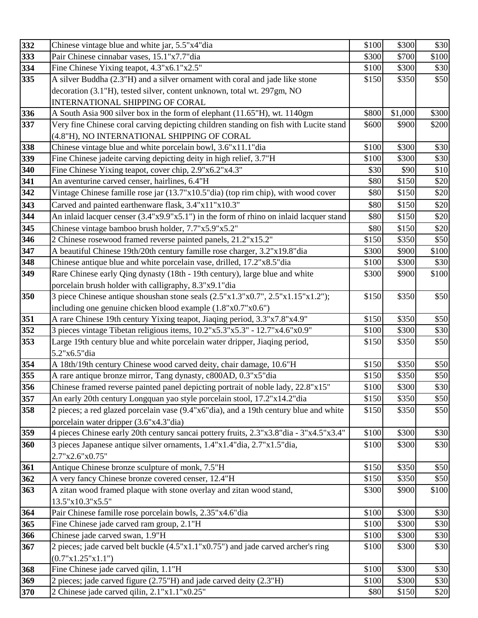| 332 | Chinese vintage blue and white jar, 5.5"x4"dia                                         | \$100 | \$300   | \$30  |
|-----|----------------------------------------------------------------------------------------|-------|---------|-------|
| 333 | Pair Chinese cinnabar vases, 15.1"x7.7"dia                                             | \$300 | \$700   | \$100 |
| 334 | Fine Chinese Yixing teapot, 4.3"x6.1"x2.5"                                             | \$100 | \$300   | \$30  |
| 335 | A silver Buddha (2.3"H) and a silver ornament with coral and jade like stone           | \$150 | \$350   | \$50  |
|     | decoration (3.1"H), tested silver, content unknown, total wt. 297gm, NO                |       |         |       |
|     | INTERNATIONAL SHIPPING OF CORAL                                                        |       |         |       |
| 336 | A South Asia 900 silver box in the form of elephant (11.65"H), wt. 1140gm              | \$800 | \$1,000 | \$300 |
| 337 | Very fine Chinese coral carving depicting children standing on fish with Lucite stand  | \$600 | \$900   | \$200 |
|     | (4.8"H), NO INTERNATIONAL SHIPPING OF CORAL                                            |       |         |       |
| 338 | Chinese vintage blue and white porcelain bowl, 3.6"x11.1"dia                           | \$100 | \$300   | \$30  |
| 339 | Fine Chinese jadeite carving depicting deity in high relief, 3.7"H                     | \$100 | \$300   | \$30  |
| 340 | Fine Chinese Yixing teapot, cover chip, 2.9"x6.2"x4.3"                                 | \$30  | \$90    | \$10  |
| 341 | An aventurine carved censer, hairlines, 6.4"H                                          | \$80  | \$150   | \$20  |
| 342 | Vintage Chinese famille rose jar (13.7"x10.5"dia) (top rim chip), with wood cover      | \$80  | \$150   | \$20  |
| 343 | Carved and painted earthenware flask, 3.4"x11"x10.3"                                   | \$80  | \$150   | \$20  |
| 344 | An inlaid lacquer censer (3.4"x9.9"x5.1") in the form of rhino on inlaid lacquer stand | \$80  | \$150   | \$20  |
| 345 | Chinese vintage bamboo brush holder, 7.7"x5.9"x5.2"                                    | \$80  | \$150   | \$20  |
| 346 | 2 Chinese rosewood framed reverse painted panels, 21.2"x15.2"                          | \$150 | \$350   | \$50  |
| 347 | A beautiful Chinese 19th/20th century famille rose charger, 3.2"x19.8"dia              | \$300 | \$900   | \$100 |
| 348 | Chinese antique blue and white porcelain vase, drilled, 17.2"x8.5" dia                 | \$100 | \$300   | \$30  |
| 349 | Rare Chinese early Qing dynasty (18th - 19th century), large blue and white            | \$300 | \$900   | \$100 |
|     | porcelain brush holder with calligraphy, 8.3"x9.1"dia                                  |       |         |       |
| 350 | 3 piece Chinese antique shoushan stone seals (2.5"x1.3"x0.7", 2.5"x1.15"x1.2");        | \$150 | \$350   | \$50  |
|     | including one genuine chicken blood example (1.8"x0.7"x0.6")                           |       |         |       |
| 351 | A rare Chinese 19th century Yixing teapot, Jiaqing period, 3.3"x7.8"x4.9"              | \$150 | \$350   | \$50  |
| 352 | 3 pieces vintage Tibetan religious items, 10.2"x5.3"x5.3" - 12.7"x4.6"x0.9"            | \$100 | \$300   | \$30  |
| 353 | Large 19th century blue and white porcelain water dripper, Jiaqing period,             | \$150 | \$350   | \$50  |
|     | 5.2"x6.5"dia                                                                           |       |         |       |
| 354 | A 18th/19th century Chinese wood carved deity, chair damage, 10.6"H                    | \$150 | \$350   | \$50  |
| 355 | A rare antique bronze mirror, Tang dynasty, c800AD, 0.3"x5"dia                         | \$150 | \$350   | \$50  |
| 356 | Chinese framed reverse painted panel depicting portrait of noble lady, 22.8"x15"       | \$100 | \$300   | \$30  |
| 357 | An early 20th century Longquan yao style porcelain stool, 17.2"x14.2" dia              | \$150 | \$350   | \$50  |
| 358 | 2 pieces; a red glazed porcelain vase (9.4"x6"dia), and a 19th century blue and white  | \$150 | \$350   | \$50  |
|     | porcelain water dripper (3.6"x4.3"dia)                                                 |       |         |       |
| 359 | 4 pieces Chinese early 20th century sancai pottery fruits, 2.3"x3.8"dia - 3"x4.5"x3.4" | \$100 | \$300   | \$30  |
| 360 | 3 pieces Japanese antique silver ornaments, 1.4"x1.4"dia, 2.7"x1.5"dia,                | \$100 | \$300   | \$30  |
|     | 2.7"x2.6"x0.75"                                                                        |       |         |       |
| 361 | Antique Chinese bronze sculpture of monk, 7.5"H                                        | \$150 | \$350   | \$50  |
| 362 | A very fancy Chinese bronze covered censer, 12.4"H                                     | \$150 | \$350   | \$50  |
| 363 | A zitan wood framed plaque with stone overlay and zitan wood stand,                    | \$300 | \$900   | \$100 |
|     | 13.5"x10.3"x5.5"                                                                       |       |         |       |
| 364 | Pair Chinese famille rose porcelain bowls, 2.35"x4.6"dia                               | \$100 | \$300   | \$30  |
| 365 | Fine Chinese jade carved ram group, 2.1"H                                              | \$100 | \$300   | \$30  |
| 366 | Chinese jade carved swan, 1.9"H                                                        | \$100 | \$300   | \$30  |
| 367 | 2 pieces; jade carved belt buckle (4.5"x1.1"x0.75") and jade carved archer's ring      | \$100 | \$300   | \$30  |
|     | (0.7"x1.25"x1.1")                                                                      |       |         |       |
| 368 | Fine Chinese jade carved qilin, 1.1"H                                                  | \$100 | \$300   | \$30  |
| 369 | 2 pieces; jade carved figure (2.75"H) and jade carved deity (2.3"H)                    | \$100 | \$300   | \$30  |
|     |                                                                                        |       |         |       |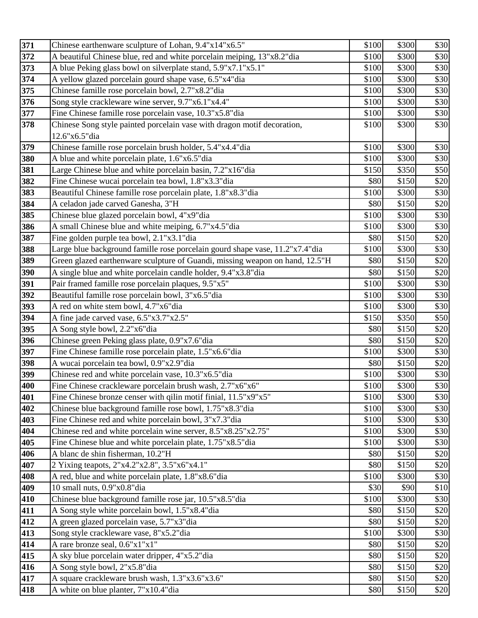| 371        | Chinese earthenware sculpture of Lohan, 9.4"x14"x6.5"                                                     | \$100        | \$300          | \$30         |
|------------|-----------------------------------------------------------------------------------------------------------|--------------|----------------|--------------|
| 372        | A beautiful Chinese blue, red and white porcelain meiping, 13"x8.2" dia                                   | \$100        | \$300          | \$30         |
| 373        | A blue Peking glass bowl on silverplate stand, 5.9"x7.1"x5.1"                                             | \$100        | \$300          | \$30         |
| 374        | A yellow glazed porcelain gourd shape vase, 6.5"x4"dia                                                    | \$100        | \$300          | \$30         |
| 375        | Chinese famille rose porcelain bowl, 2.7"x8.2"dia                                                         | \$100        | \$300          | \$30         |
| 376        | Song style crackleware wine server, 9.7"x6.1"x4.4"                                                        | \$100        | \$300          | \$30         |
| 377        | Fine Chinese famille rose porcelain vase, 10.3"x5.8"dia                                                   | \$100        | \$300          | \$30         |
| 378        | Chinese Song style painted porcelain vase with dragon motif decoration,                                   | \$100        | \$300          | \$30         |
|            | 12.6"x6.5"dia                                                                                             |              |                |              |
| 379        | Chinese famille rose porcelain brush holder, 5.4"x4.4"dia                                                 | \$100        | \$300          | \$30         |
| 380        | A blue and white porcelain plate, 1.6"x6.5"dia                                                            | \$100        | \$300          | \$30         |
| 381        | Large Chinese blue and white porcelain basin, 7.2"x16"dia                                                 | \$150        | \$350          | \$50         |
| 382        | Fine Chinese wucai porcelain tea bowl, 1.8"x3.3"dia                                                       | \$80         | \$150          | \$20         |
| 383        | Beautiful Chinese famille rose porcelain plate, 1.8"x8.3"dia                                              | \$100        | \$300          | \$30         |
| 384        | A celadon jade carved Ganesha, 3"H                                                                        | \$80         | \$150          | \$20         |
| 385        | Chinese blue glazed porcelain bowl, 4"x9"dia                                                              | \$100        | \$300          | \$30         |
| 386        | A small Chinese blue and white meiping, 6.7"x4.5"dia                                                      | \$100        | \$300          | \$30         |
| 387        | Fine golden purple tea bowl, 2.1"x3.1"dia                                                                 | \$80         | \$150          | \$20         |
| 388        | Large blue background famille rose porcelain gourd shape vase, 11.2"x7.4"dia                              | \$100        | \$300          | \$30         |
| 389        | Green glazed earthenware sculpture of Guandi, missing weapon on hand, 12.5"H                              | \$80         | \$150          | \$20         |
| 390        | A single blue and white porcelain candle holder, 9.4"x3.8" dia                                            | \$80         | \$150          | \$20         |
| 391        | Pair framed famille rose porcelain plaques, 9.5"x5"                                                       | \$100        | \$300          | \$30         |
| 392        | Beautiful famille rose porcelain bowl, 3"x6.5"dia                                                         | \$100        | \$300          | \$30         |
| 393        | A red on white stem bowl, 4.7"x6"dia                                                                      | \$100        | \$300          | \$30         |
| 394        | A fine jade carved vase, 6.5"x3.7"x2.5"                                                                   | \$150        | \$350          | \$50         |
| 395        | A Song style bowl, 2.2"x6"dia                                                                             | \$80<br>\$80 | \$150          | \$20<br>\$20 |
| 396<br>397 | Chinese green Peking glass plate, 0.9"x7.6"dia<br>Fine Chinese famille rose porcelain plate, 1.5"x6.6"dia | \$100        | \$150<br>\$300 | \$30         |
| 398        | A wucai porcelain tea bowl, 0.9"x2.9"dia                                                                  | \$80         | \$150          | \$20         |
| 399        | Chinese red and white porcelain vase, 10.3"x6.5"dia                                                       | \$100        | \$300          | \$30         |
| 400        | Fine Chinese crackleware porcelain brush wash, 2.7"x6"x6"                                                 | \$100        | \$300          | \$30         |
| 401        | Fine Chinese bronze censer with qilin motif finial, 11.5"x9"x5"                                           | \$100        | \$300          | \$30         |
| 402        | Chinese blue background famille rose bowl, 1.75"x8.3"dia                                                  | \$100        | \$300          | \$30         |
| 403        | Fine Chinese red and white porcelain bowl, 3"x7.3" dia                                                    | \$100        | \$300          | \$30         |
| 404        | Chinese red and white porcelain wine server, 8.5"x8.25"x2.75"                                             | \$100        | \$300          | \$30         |
| 405        | Fine Chinese blue and white porcelain plate, 1.75"x8.5" dia                                               | \$100        | \$300          | \$30         |
| 406        | A blanc de shin fisherman, 10.2"H                                                                         | \$80         | \$150          | \$20         |
| 407        | 2 Yixing teapots, 2"x4.2"x2.8", 3.5"x6"x4.1"                                                              | \$80         | \$150          | \$20         |
| 408        | A red, blue and white porcelain plate, 1.8"x8.6" dia                                                      | \$100        | \$300          | \$30         |
| 409        | 10 small nuts, 0.9"x0.8"dia                                                                               | \$30         | \$90           | \$10         |
| 410        | Chinese blue background famille rose jar, 10.5"x8.5"dia                                                   | \$100        | \$300          | \$30         |
| 411        | A Song style white porcelain bowl, 1.5"x8.4"dia                                                           | \$80         | \$150          | \$20         |
| 412        | A green glazed porcelain vase, 5.7"x3"dia                                                                 | \$80         | \$150          | \$20         |
| 413        | Song style crackleware vase, 8"x5.2"dia                                                                   | \$100        | \$300          | \$30         |
| 414        | A rare bronze seal, 0.6"x1"x1"                                                                            | \$80         | \$150          | \$20         |
| 415        | A sky blue porcelain water dripper, 4"x5.2" dia                                                           | \$80         | \$150          | \$20         |
| 416        | A Song style bowl, 2"x5.8"dia                                                                             | \$80         | \$150          | \$20         |
| 417        | A square crackleware brush wash, 1.3"x3.6"x3.6"                                                           | \$80         | \$150          | \$20         |
| 418        | A white on blue planter, 7"x10.4"dia                                                                      | \$80         | \$150          | \$20         |